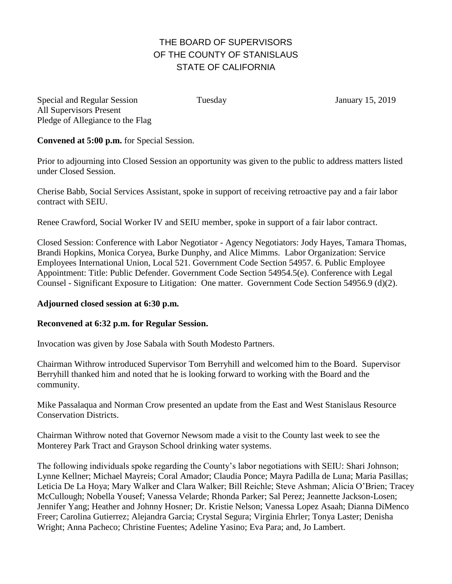## THE BOARD OF SUPERVISORS OF THE COUNTY OF STANISLAUS STATE OF CALIFORNIA

Special and Regular Session Tuesday January 15, 2019 All Supervisors Present Pledge of Allegiance to the Flag

**Convened at 5:00 p.m.** for Special Session.

Prior to adjourning into Closed Session an opportunity was given to the public to address matters listed under Closed Session.

Cherise Babb, Social Services Assistant, spoke in support of receiving retroactive pay and a fair labor contract with SEIU.

Renee Crawford, Social Worker IV and SEIU member, spoke in support of a fair labor contract.

Closed Session: Conference with Labor Negotiator - Agency Negotiators: Jody Hayes, Tamara Thomas, Brandi Hopkins, Monica Coryea, Burke Dunphy, and Alice Mimms. Labor Organization: Service Employees International Union, Local 521. Government Code Section 54957. 6. Public Employee Appointment: Title: Public Defender. Government Code Section 54954.5(e). Conference with Legal Counsel - Significant Exposure to Litigation: One matter. Government Code Section 54956.9 (d)(2).

## **Adjourned closed session at 6:30 p.m.**

## **Reconvened at 6:32 p.m. for Regular Session.**

Invocation was given by Jose Sabala with South Modesto Partners.

Chairman Withrow introduced Supervisor Tom Berryhill and welcomed him to the Board. Supervisor Berryhill thanked him and noted that he is looking forward to working with the Board and the community.

Mike Passalaqua and Norman Crow presented an update from the East and West Stanislaus Resource Conservation Districts.

Chairman Withrow noted that Governor Newsom made a visit to the County last week to see the Monterey Park Tract and Grayson School drinking water systems.

The following individuals spoke regarding the County's labor negotiations with SEIU: Shari Johnson; Lynne Kellner; Michael Mayreis; Coral Amador; Claudia Ponce; Mayra Padilla de Luna; Maria Pasillas; Leticia De La Hoya; Mary Walker and Clara Walker; Bill Reichle; Steve Ashman; Alicia O'Brien; Tracey McCullough; Nobella Yousef; Vanessa Velarde; Rhonda Parker; Sal Perez; Jeannette Jackson-Losen; Jennifer Yang; Heather and Johnny Hosner; Dr. Kristie Nelson; Vanessa Lopez Asaah; Dianna DiMenco Freer; Carolina Gutierrez; Alejandra Garcia; Crystal Segura; Virginia Ehrler; Tonya Laster; Denisha Wright; Anna Pacheco; Christine Fuentes; Adeline Yasino; Eva Para; and, Jo Lambert.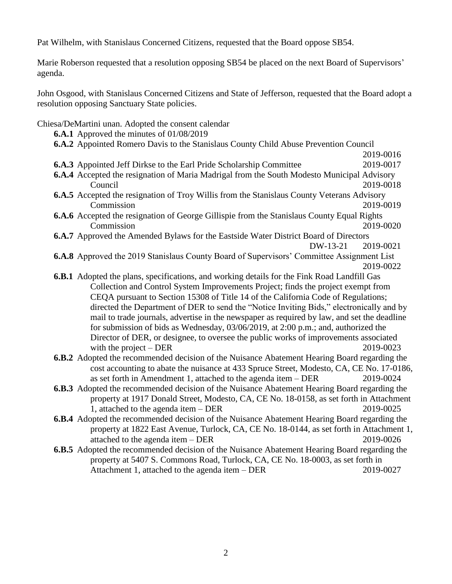Pat Wilhelm, with Stanislaus Concerned Citizens, requested that the Board oppose SB54.

Marie Roberson requested that a resolution opposing SB54 be placed on the next Board of Supervisors' agenda.

John Osgood, with Stanislaus Concerned Citizens and State of Jefferson, requested that the Board adopt a resolution opposing Sanctuary State policies.

Chiesa/DeMartini unan. Adopted the consent calendar

- **6.A.1** Approved the minutes of 01/08/2019
- **6.A.2** Appointed Romero Davis to the Stanislaus County Child Abuse Prevention Council
- 2019-0016 **6.A.3** Appointed Jeff Dirkse to the Earl Pride Scholarship Committee 2019-0017
- **6.A.4** Accepted the resignation of Maria Madrigal from the South Modesto Municipal Advisory Council 2019-0018
- **6.A.5** Accepted the resignation of Troy Willis from the Stanislaus County Veterans Advisory Commission 2019-0019
- **6.A.6** Accepted the resignation of George Gillispie from the Stanislaus County Equal Rights Commission 2019-0020
- **6.A.7** Approved the Amended Bylaws for the Eastside Water District Board of Directors

- **6.A.8** Approved the 2019 Stanislaus County Board of Supervisors' Committee Assignment List 2019-0022
- **6.B.1** Adopted the plans, specifications, and working details for the Fink Road Landfill Gas Collection and Control System Improvements Project; finds the project exempt from CEQA pursuant to Section 15308 of Title 14 of the California Code of Regulations; directed the Department of DER to send the "Notice Inviting Bids," electronically and by mail to trade journals, advertise in the newspaper as required by law, and set the deadline for submission of bids as Wednesday, 03/06/2019, at 2:00 p.m.; and, authorized the Director of DER, or designee, to oversee the public works of improvements associated with the project – DER 2019-0023
- **6.B.2** Adopted the recommended decision of the Nuisance Abatement Hearing Board regarding the cost accounting to abate the nuisance at 433 Spruce Street, Modesto, CA, CE No. 17-0186, as set forth in Amendment 1, attached to the agenda item – DER 2019-0024
- **6.B.3** Adopted the recommended decision of the Nuisance Abatement Hearing Board regarding the property at 1917 Donald Street, Modesto, CA, CE No. 18-0158, as set forth in Attachment 1, attached to the agenda item – DER 2019-0025
- **6.B.4** Adopted the recommended decision of the Nuisance Abatement Hearing Board regarding the property at 1822 East Avenue, Turlock, CA, CE No. 18-0144, as set forth in Attachment 1, attached to the agenda item – DER 2019-0026
- **6.B.5** Adopted the recommended decision of the Nuisance Abatement Hearing Board regarding the property at 5407 S. Commons Road, Turlock, CA, CE No. 18-0003, as set forth in Attachment 1, attached to the agenda item – DER 2019-0027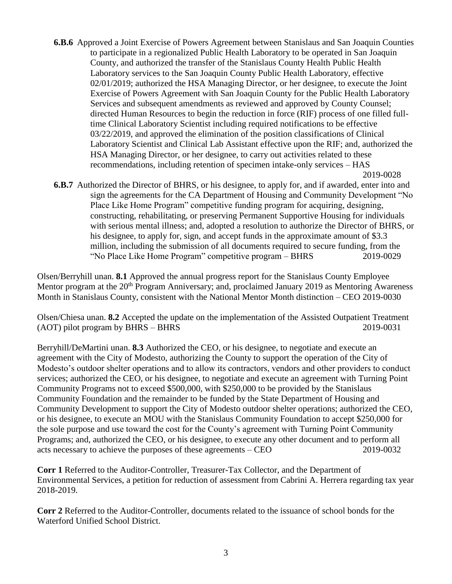- **6.B.6** Approved a Joint Exercise of Powers Agreement between Stanislaus and San Joaquin Counties to participate in a regionalized Public Health Laboratory to be operated in San Joaquin County, and authorized the transfer of the Stanislaus County Health Public Health Laboratory services to the San Joaquin County Public Health Laboratory, effective 02/01/2019; authorized the HSA Managing Director, or her designee, to execute the Joint Exercise of Powers Agreement with San Joaquin County for the Public Health Laboratory Services and subsequent amendments as reviewed and approved by County Counsel; directed Human Resources to begin the reduction in force (RIF) process of one filled fulltime Clinical Laboratory Scientist including required notifications to be effective 03/22/2019, and approved the elimination of the position classifications of Clinical Laboratory Scientist and Clinical Lab Assistant effective upon the RIF; and, authorized the HSA Managing Director, or her designee, to carry out activities related to these recommendations, including retention of specimen intake-only services – HAS
	- 2019-0028
- **6.B.7** Authorized the Director of BHRS, or his designee, to apply for, and if awarded, enter into and sign the agreements for the CA Department of Housing and Community Development "No Place Like Home Program" competitive funding program for acquiring, designing, constructing, rehabilitating, or preserving Permanent Supportive Housing for individuals with serious mental illness; and, adopted a resolution to authorize the Director of BHRS, or his designee, to apply for, sign, and accept funds in the approximate amount of \$3.3 million, including the submission of all documents required to secure funding, from the "No Place Like Home Program" competitive program – BHRS 2019-0029

Olsen/Berryhill unan. **8.1** Approved the annual progress report for the Stanislaus County Employee Mentor program at the 20<sup>th</sup> Program Anniversary; and, proclaimed January 2019 as Mentoring Awareness Month in Stanislaus County, consistent with the National Mentor Month distinction – CEO 2019-0030

Olsen/Chiesa unan. **8.2** Accepted the update on the implementation of the Assisted Outpatient Treatment  $(AOT)$  pilot program by BHRS – BHRS  $\sim 2019-0031$ 

Berryhill/DeMartini unan. **8.3** Authorized the CEO, or his designee, to negotiate and execute an agreement with the City of Modesto, authorizing the County to support the operation of the City of Modesto's outdoor shelter operations and to allow its contractors, vendors and other providers to conduct services; authorized the CEO, or his designee, to negotiate and execute an agreement with Turning Point Community Programs not to exceed \$500,000, with \$250,000 to be provided by the Stanislaus Community Foundation and the remainder to be funded by the State Department of Housing and Community Development to support the City of Modesto outdoor shelter operations; authorized the CEO, or his designee, to execute an MOU with the Stanislaus Community Foundation to accept \$250,000 for the sole purpose and use toward the cost for the County's agreement with Turning Point Community Programs; and, authorized the CEO, or his designee, to execute any other document and to perform all acts necessary to achieve the purposes of these agreements – CEO 2019-0032

**Corr 1** Referred to the Auditor-Controller, Treasurer-Tax Collector, and the Department of Environmental Services, a petition for reduction of assessment from Cabrini A. Herrera regarding tax year 2018-2019.

**Corr 2** Referred to the Auditor-Controller, documents related to the issuance of school bonds for the Waterford Unified School District.